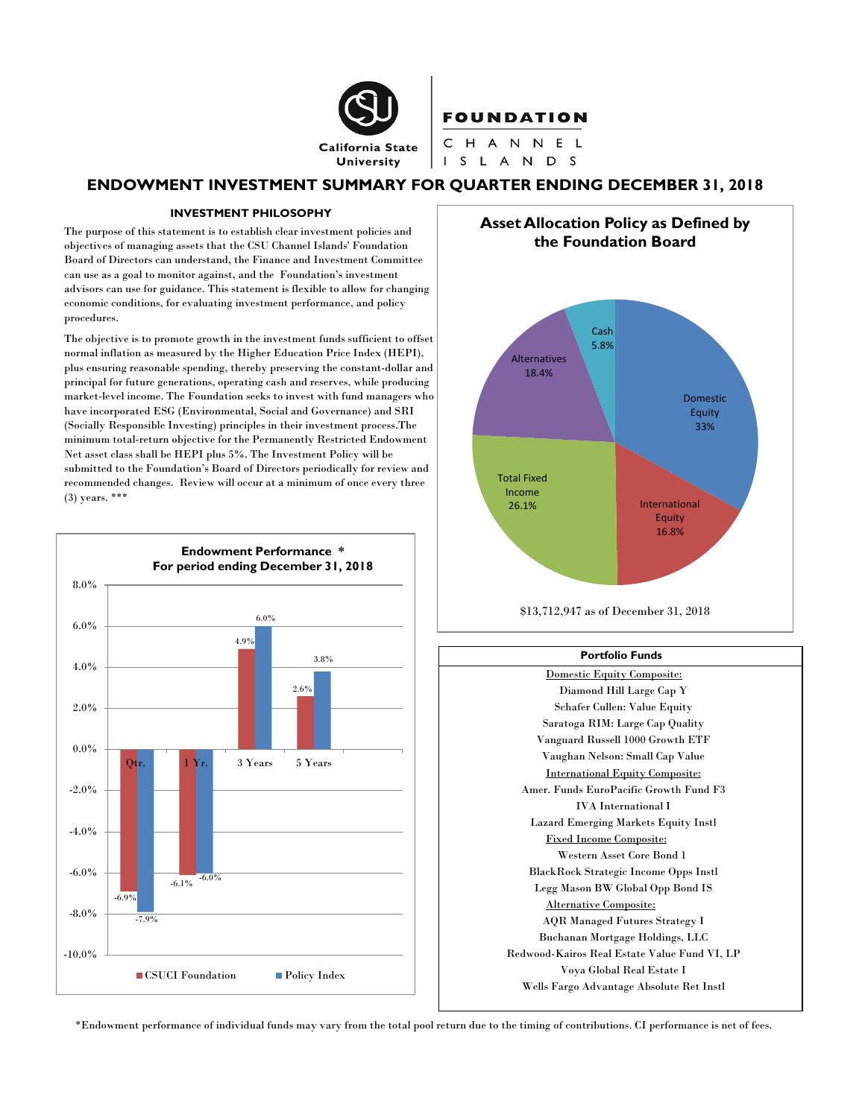

**FOUNDATION** 

CHANNEL I S L A N D S

# **ENDOWMENT INVESTMENT SUMMARY FOR QUARTER ENDING DECEMBER 31, 2018**

### **INVESTMENT PHILOSOPHY**

The purpose of this statement is to establish clear investment policies and objectives of managing assets that the CSU Channel Islands' Foundation Board of Directors can understand, the Finance and Investment Committee can use as a goal to monitor against, and the Foundation's investment advisors can use for guidance. This statement is flexible to allow for changing economic conditions, for evaluating investment performance, and policy procedures.

The objective is to promote growth in the investment funds sufficient to offset normal inflation as measured by the Higher Education Price Index (HEPI), plus ensuring reasonable spending, thereby preserving the constant-dollar and principal for future generations, operating cash and reserves, while producing market-level income. The Foundation seeks to invest with fund managers who have incorporated ESG (Environmental, Social and Governance) and SRI (Socially Responsible Investing) principles in their investment process.The minimum total-return objective for the Permanently Restricted Endowment Net asset class shall be HEPI plus 5%. The Investment Policy will be submitted to the Foundation's Board of Directors periodically for review and recommended changes. Review will occur at a minimum of once every three (3) years. \*\*\*



**Asset Allocation Policy as Defined by the Foundation Board**



<sup>\$13,712,947</sup> as of December 31, 2018

### **Portfolio Funds**

Domestic Equity Composite: Diamond Hill Large Cap Y Schafer Cullen: Value Equity Saratoga RIM: Large Cap Quality Vanguard Russell 1000 Growth ETF Vaughan Nelson: Small Cap Value International Equity Composite: Amer. Funds EuroPacific Growth Fund F3 IVA International I Lazard Emerging Markets Equity Instl Fixed Income Composite: Western Asset Core Bond 1 BlackRock Strategic Income Opps Instl Legg Mason BW Global Opp Bond IS Alternative Composite: AQR Managed Futures Strategy I Buchanan Mortgage Holdings, LLC Redwood-Kairos Real Estate Value Fund VI, LP Voya Global Real Estate I Wells Fargo Advantage Absolute Ret Instl

\*Endowment performance of individual funds may vary from the total pool return due to the timing of contributions. CI performance is net of fees.